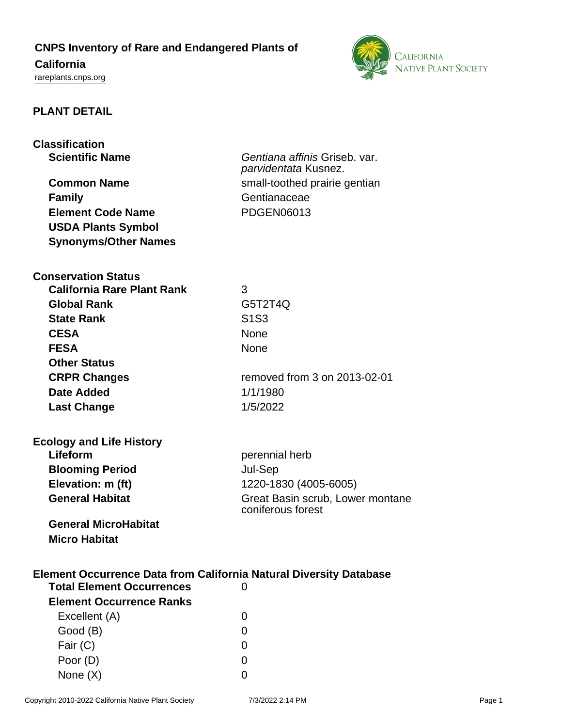## **CNPS Inventory of Rare and Endangered Plants of**

# **California**

<rareplants.cnps.org>



## **PLANT DETAIL**

| <b>Classification</b><br><b>Scientific Name</b>                           | Gentiana affinis Griseb. var.                         |  |
|---------------------------------------------------------------------------|-------------------------------------------------------|--|
|                                                                           | parvidentata Kusnez.                                  |  |
| <b>Common Name</b>                                                        | small-toothed prairie gentian                         |  |
| <b>Family</b>                                                             | Gentianaceae                                          |  |
| <b>Element Code Name</b>                                                  | <b>PDGEN06013</b>                                     |  |
| <b>USDA Plants Symbol</b>                                                 |                                                       |  |
| <b>Synonyms/Other Names</b>                                               |                                                       |  |
| <b>Conservation Status</b>                                                |                                                       |  |
| <b>California Rare Plant Rank</b>                                         | 3                                                     |  |
| <b>Global Rank</b>                                                        | G5T2T4Q                                               |  |
| <b>State Rank</b>                                                         | S <sub>1</sub> S <sub>3</sub>                         |  |
| <b>CESA</b>                                                               | None                                                  |  |
| <b>FESA</b>                                                               | None                                                  |  |
| <b>Other Status</b>                                                       |                                                       |  |
| <b>CRPR Changes</b>                                                       | removed from 3 on 2013-02-01                          |  |
| <b>Date Added</b>                                                         | 1/1/1980                                              |  |
| <b>Last Change</b>                                                        | 1/5/2022                                              |  |
| <b>Ecology and Life History</b>                                           |                                                       |  |
| Lifeform                                                                  | perennial herb                                        |  |
| <b>Blooming Period</b>                                                    | Jul-Sep                                               |  |
| Elevation: m (ft)                                                         | 1220-1830 (4005-6005)                                 |  |
| <b>General Habitat</b>                                                    | Great Basin scrub, Lower montane<br>coniferous forest |  |
| <b>General MicroHabitat</b>                                               |                                                       |  |
| <b>Micro Habitat</b>                                                      |                                                       |  |
|                                                                           |                                                       |  |
| <b>Element Occurrence Data from California Natural Diversity Database</b> |                                                       |  |
| <b>Total Element Occurrences</b>                                          | $\overline{0}$                                        |  |
| <b>Element Occurrence Ranks</b>                                           |                                                       |  |
| Excellent (A)                                                             | 0                                                     |  |
| Good (B)                                                                  | 0                                                     |  |
| Fair (C)                                                                  | 0                                                     |  |
| Poor (D)                                                                  | 0                                                     |  |
| None $(X)$                                                                | 0                                                     |  |